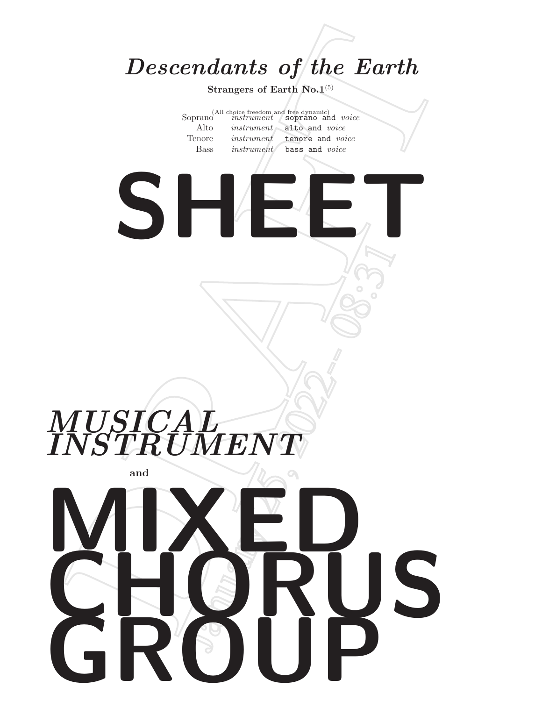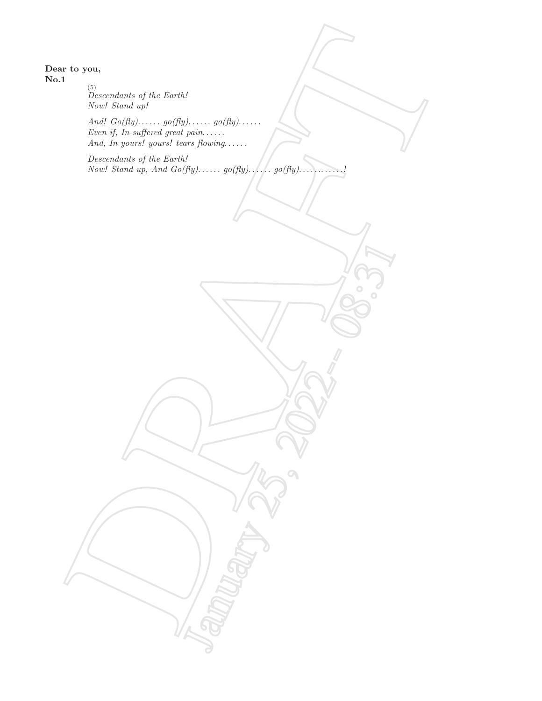Dear to you, No.1

> (5) Descendants of the Earth! Now! Stand up!

And!  $Go(fly)$ ......  $go(fly)$ ......  $go(fly)$ ...... Even if, In suffered great pain...... And, In yours! yours! tears flowing......

Descendants of the Earth! Now! Stand up, And Go(fly). . . . . . go(fly). . . . . . go(fly). . . . . .. . . . . .!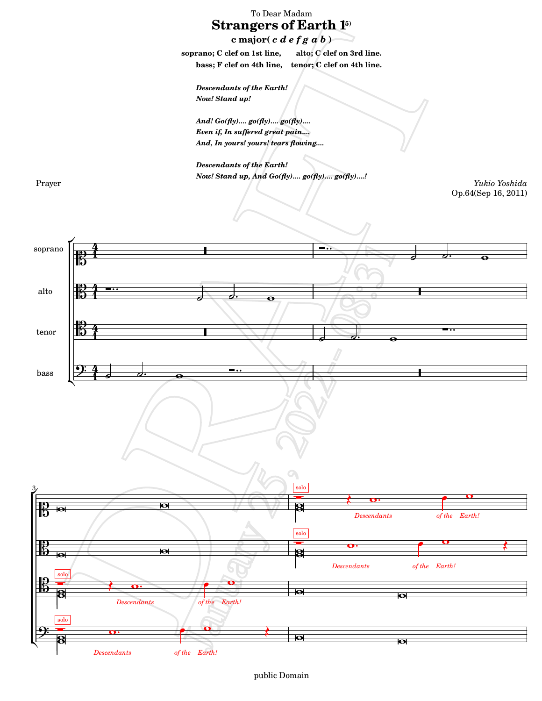To Dear Madam  $\bf{Strangers}$  of  $\bf{Earth}$  15) **c major(** c d e f g a b **) soprano; C clef on 1st line, alto; C clef on 3rd line. bass; F clef on 4th line, tenor; C clef on 4th line.** Descendants of the Earth! Now! Stand up! And! Go(fly).... go(fly).... go(fly).... Even if, In suffered great pain.... And, In yours! yours! tears flowing.... Descendants of the Earth! Now! Stand up, And Go(fly).... go(fly).... go(fly)....! Prayer *Yukio Yoshida* Op.64(Sep 16, 2011) ŕ [4](textedit:///mnt/c/yukio/sheet-poem.com/2008-2011/2011/strangers1-5/strangers1-5.ly:71:3:4)<br>4 I -∙ soprano t  $\frac{1}{2}$  $\mathbb{B}$  $\mathbf{f}$  $\overline{\bullet}$  $rac{1}{5}$  4 - $\cdot$ [4](textedit:///mnt/c/yukio/sheet-poem.com/2008-2011/2011/strangers1-5/strangers1-5.ly:204:3:4)<br>4 l alto  $\overline{\phantom{a}}$  $\ddot{\bullet}$  $\overline{\bullet}$ **1**  $\frac{12}{5}$ - $\cdot$ l tenor  $\overline{\partial}$ .  $\mathbf{1}$ ol.  $\overline{\bullet}$ <u>9: [4](textedit:///mnt/c/yukio/sheet-poem.com/2008-2011/2011/strangers1-5/strangers1-5.ly:462:3:4)</u>  $\phi$ .  $\theta$ l •∴ bass  $\begin{bmatrix} 2 & 4 & 3 & 0 \\ 4 & 3 & 0 & 0 \\ 0 & 0 & 0 & 0 \\ 0 & 0 & 0 & 0 \\ 0 & 0 & 0 & 0 \\ 0 & 0 & 0 & 0 \\ 0 & 0 & 0 & 0 \\ 0 & 0 & 0 & 0 \\ 0 & 0 & 0 & 0 \\ 0 & 0 & 0 & 0 \\ 0 & 0 & 0 & 0 & 0 \\ 0 & 0 & 0 & 0 & 0 \\ 0 & 0 & 0 & 0 & 0 \\ 0 & 0 & 0 & 0 & 0 & 0 \\ 0 & 0 & 0 & 0 & 0 & 0 \\ 0 & 0 & 0$  $\overline{\bullet}$  $\mathbf{f}$  $\mathsf{R}$  $\mathring{\mathsf{L}}$ [solo](textedit:///mnt/c/yukio/sheet-poem.com/2008-2011/2011/strangers1-5/strangers1-5.ly:73:16:17)  $\mathbf{o}$ P $\boldsymbol{\zeta}$ 0  $\ddot{\phantom{0}}$  $\overline{\mathbf{e}}$ 5  $\overline{\mathbf{e}}$ R *[Descendants](textedit:///mnt/c/yukio/sheet-poem.com/2008-2011/2011/strangers1-5/strangers1-5.ly:124:0:1) [Earth!](textedit:///mnt/c/yukio/sheet-poem.com/2008-2011/2011/strangers1-5/strangers1-5.ly:124:21:22) [of the](textedit:///mnt/c/yukio/sheet-poem.com/2008-2011/2011/strangers1-5/strangers1-5.ly:124:19:20)* [solo](textedit:///mnt/c/yukio/sheet-poem.com/2008-2011/2011/strangers1-5/strangers1-5.ly:206:16:17)<br><del>Dese</del>  $\mathbf{o}$ P0  $\overline{\cdot}$  $\boldsymbol{\zeta}$ **elle**  $\overline{\mathbf{e}}$  $\overline{\mathbf{e}}$ ⊠ *[Descendants](textedit:///mnt/c/yukio/sheet-poem.com/2008-2011/2011/strangers1-5/strangers1-5.ly:254:0:1) [Earth!](textedit:///mnt/c/yukio/sheet-poem.com/2008-2011/2011/strangers1-5/strangers1-5.ly:254:21:22) [of the](textedit:///mnt/c/yukio/sheet-poem.com/2008-2011/2011/strangers1-5/strangers1-5.ly:254:19:20)* [solo](textedit:///mnt/c/yukio/sheet-poem.com/2008-2011/2011/strangers1-5/strangers1-5.ly:336:15:16)  $\frac{1}{\sqrt{2}}$ 0  $\mathbb{B}$ Ē $\boldsymbol{\zeta}$  $\overline{\mathbf{o}}$   $\overline{\overline{\mathbf{g}}}$  $\overline{\mathbf{e}}$  $\overline{\mathbf{g}}$  $\overline{\bullet}$ *[Descendants](textedit:///mnt/c/yukio/sheet-poem.com/2008-2011/2011/strangers1-5/strangers1-5.ly:384:0:1) [of the](textedit:///mnt/c/yukio/sheet-poem.com/2008-2011/2011/strangers1-5/strangers1-5.ly:384:19:20) [Earth!](textedit:///mnt/c/yukio/sheet-poem.com/2008-2011/2011/strangers1-5/strangers1-5.ly:384:21:22)* [solo](textedit:///mnt/c/yukio/sheet-poem.com/2008-2011/2011/strangers1-5/strangers1-5.ly:464:15:16)  $\frac{1}{\sqrt{2}}$ 0  $\overline{\mathbf{r}}$  $\cdot$  .0  $\ddot{\phantom{0}}$  $\boldsymbol{\xi}$  $\overline{\mathbf{a}}$  $\overline{\bullet}$  $\overline{\mathbf{e}}$ Ķ *[Descendants](textedit:///mnt/c/yukio/sheet-poem.com/2008-2011/2011/strangers1-5/strangers1-5.ly:512:0:1) [Earth!](textedit:///mnt/c/yukio/sheet-poem.com/2008-2011/2011/strangers1-5/strangers1-5.ly:512:21:22) [of the](textedit:///mnt/c/yukio/sheet-poem.com/2008-2011/2011/strangers1-5/strangers1-5.ly:512:19:20)*

## public Domain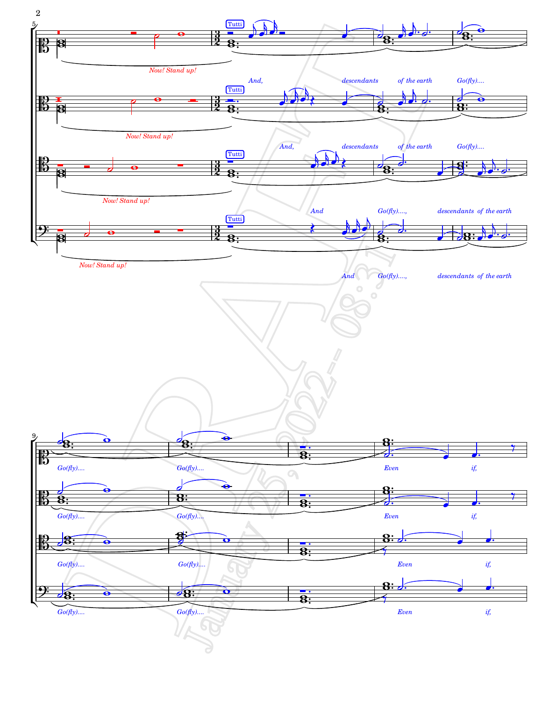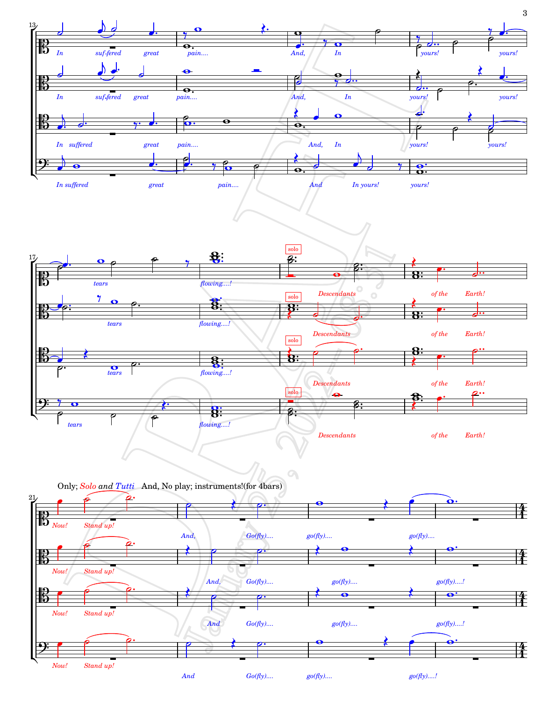